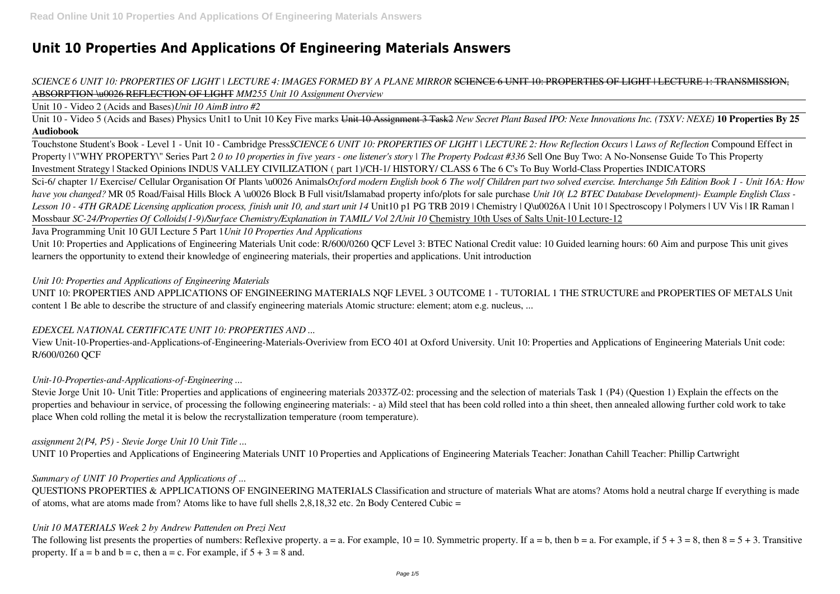# **Unit 10 Properties And Applications Of Engineering Materials Answers**

# *SCIENCE 6 UNIT 10: PROPERTIES OF LIGHT | LECTURE 4: IMAGES FORMED BY A PLANE MIRROR* SCIENCE 6 UNIT 10: PROPERTIES OF LIGHT | LECTURE 1: TRANSMISSION, ABSORPTION \u0026 REFLECTION OF LIGHT *MM255 Unit 10 Assignment Overview*

Unit 10 - Video 2 (Acids and Bases)*Unit 10 AimB intro #2*

Unit 10 - Video 5 (Acids and Bases) Physics Unit1 to Unit 10 Key Five marks Unit 10 Assignment 3 Task2 *New Secret Plant Based IPO: Nexe Innovations Inc. (TSXV: NEXE)* **10 Properties By 25 Audiobook**

Touchstone Student's Book - Level 1 - Unit 10 - Cambridge Press*SCIENCE 6 UNIT 10: PROPERTIES OF LIGHT | LECTURE 2: How Reflection Occurs | Laws of Reflection* Compound Effect in Property | \"WHY PROPERTY\" Series Part 2 *0 to 10 properties in five years - one listener's story | The Property Podcast #336* Sell One Buy Two: A No-Nonsense Guide To This Property Investment Strategy | Stacked Opinions INDUS VALLEY CIVILIZATION ( part 1)/CH-1/ HISTORY/ CLASS 6 The 6 C's To Buy World-Class Properties INDICATORS Sci-6/ chapter 1/ Exercise/ Cellular Organisation Of Plants \u0026 Animals*Oxford modern English book 6 The wolf Children part two solved exercise. Interchange 5th Edition Book 1 - Unit 16A: How have you changed?* MR 05 Road/Faisal Hills Block A \u0026 Block B Full visit/Islamabad property info/plots for sale purchase *Unit 10( L2 BTEC Database Development)- Example English Class - Lesson 10 - 4TH GRADE Licensing application process, finish unit 10, and start unit 14* Unit10 p1 PG TRB 2019 | Chemistry | Q\u0026A | Unit 10 | Spectroscopy | Polymers | UV Vis | IR Raman | Mossbaur *SC-24/Properties Of Colloids(1-9)/Surface Chemistry/Explanation in TAMIL/ Vol 2/Unit 10* Chemistry 10th Uses of Salts Unit-10 Lecture-12

Java Programming Unit 10 GUI Lecture 5 Part 1*Unit 10 Properties And Applications*

Unit 10: Properties and Applications of Engineering Materials Unit code: R/600/0260 QCF Level 3: BTEC National Credit value: 10 Guided learning hours: 60 Aim and purpose This unit gives learners the opportunity to extend their knowledge of engineering materials, their properties and applications. Unit introduction

#### *Unit 10: Properties and Applications of Engineering Materials*

UNIT 10: PROPERTIES AND APPLICATIONS OF ENGINEERING MATERIALS NQF LEVEL 3 OUTCOME 1 - TUTORIAL 1 THE STRUCTURE and PROPERTIES OF METALS Unit content 1 Be able to describe the structure of and classify engineering materials Atomic structure: element; atom e.g. nucleus, ...

### *EDEXCEL NATIONAL CERTIFICATE UNIT 10: PROPERTIES AND ...*

View Unit-10-Properties-and-Applications-of-Engineering-Materials-Overiview from ECO 401 at Oxford University. Unit 10: Properties and Applications of Engineering Materials Unit code: R/600/0260 QCF

### *Unit-10-Properties-and-Applications-of-Engineering ...*

Stevie Jorge Unit 10- Unit Title: Properties and applications of engineering materials 20337Z-02: processing and the selection of materials Task 1 (P4) (Question 1) Explain the effects on the properties and behaviour in service, of processing the following engineering materials: - a) Mild steel that has been cold rolled into a thin sheet, then annealed allowing further cold work to take place When cold rolling the metal it is below the recrystallization temperature (room temperature).

### *assignment 2(P4, P5) - Stevie Jorge Unit 10 Unit Title ...*

UNIT 10 Properties and Applications of Engineering Materials UNIT 10 Properties and Applications of Engineering Materials Teacher: Jonathan Cahill Teacher: Phillip Cartwright

#### *Summary of UNIT 10 Properties and Applications of ...*

QUESTIONS PROPERTIES & APPLICATIONS OF ENGINEERING MATERIALS Classification and structure of materials What are atoms? Atoms hold a neutral charge If everything is made of atoms, what are atoms made from? Atoms like to have full shells 2,8,18,32 etc. 2n Body Centered Cubic =

#### *Unit 10 MATERIALS Week 2 by Andrew Pattenden on Prezi Next*

The following list presents the properties of numbers: Reflexive property.  $a = a$ . For example,  $10 = 10$ . Symmetric property. If  $a = b$ , then  $b = a$ . For example, if  $5 + 3 = 8$ , then  $8 = 5 + 3$ . Transitive property. If  $a = b$  and  $b = c$ , then  $a = c$ . For example, if  $5 + 3 = 8$  and.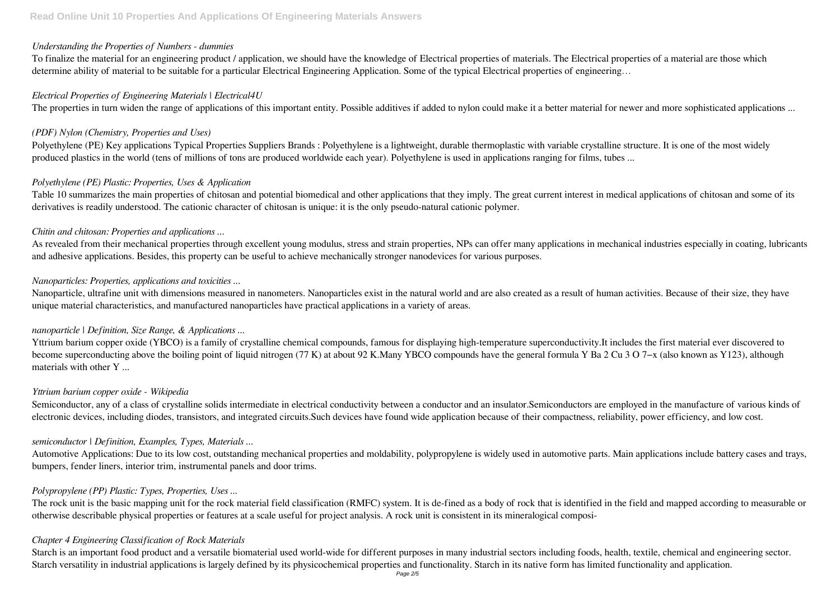#### *Understanding the Properties of Numbers - dummies*

To finalize the material for an engineering product / application, we should have the knowledge of Electrical properties of materials. The Electrical properties of a material are those which determine ability of material to be suitable for a particular Electrical Engineering Application. Some of the typical Electrical properties of engineering…

#### *Electrical Properties of Engineering Materials | Electrical4U*

The properties in turn widen the range of applications of this important entity. Possible additives if added to nylon could make it a better material for newer and more sophisticated applications ...

### *(PDF) Nylon (Chemistry, Properties and Uses)*

As revealed from their mechanical properties through excellent young modulus, stress and strain properties, NPs can offer many applications in mechanical industries especially in coating, lubricants and adhesive applications. Besides, this property can be useful to achieve mechanically stronger nanodevices for various purposes.

Polyethylene (PE) Key applications Typical Properties Suppliers Brands : Polyethylene is a lightweight, durable thermoplastic with variable crystalline structure. It is one of the most widely produced plastics in the world (tens of millions of tons are produced worldwide each year). Polyethylene is used in applications ranging for films, tubes ...

# *Polyethylene (PE) Plastic: Properties, Uses & Application*

Table 10 summarizes the main properties of chitosan and potential biomedical and other applications that they imply. The great current interest in medical applications of chitosan and some of its derivatives is readily understood. The cationic character of chitosan is unique: it is the only pseudo-natural cationic polymer.

### *Chitin and chitosan: Properties and applications ...*

Semiconductor, any of a class of crystalline solids intermediate in electrical conductivity between a conductor and an insulator. Semiconductors are employed in the manufacture of various kinds of electronic devices, including diodes, transistors, and integrated circuits.Such devices have found wide application because of their compactness, reliability, power efficiency, and low cost.

### *Nanoparticles: Properties, applications and toxicities ...*

The rock unit is the basic mapping unit for the rock material field classification (RMFC) system. It is de-fined as a body of rock that is identified in the field and mapped according to measurable or otherwise describable physical properties or features at a scale useful for project analysis. A rock unit is consistent in its mineralogical composi-

Nanoparticle, ultrafine unit with dimensions measured in nanometers. Nanoparticles exist in the natural world and are also created as a result of human activities. Because of their size, they have unique material characteristics, and manufactured nanoparticles have practical applications in a variety of areas.

### *nanoparticle | Definition, Size Range, & Applications ...*

Yttrium barium copper oxide (YBCO) is a family of crystalline chemical compounds, famous for displaying high-temperature superconductivity.It includes the first material ever discovered to become superconducting above the boiling point of liquid nitrogen (77 K) at about 92 K.Many YBCO compounds have the general formula Y Ba 2 Cu 3 O 7−x (also known as Y123), although materials with other Y ...

### *Yttrium barium copper oxide - Wikipedia*

# *semiconductor | Definition, Examples, Types, Materials ...*

Automotive Applications: Due to its low cost, outstanding mechanical properties and moldability, polypropylene is widely used in automotive parts. Main applications include battery cases and trays, bumpers, fender liners, interior trim, instrumental panels and door trims.

### *Polypropylene (PP) Plastic: Types, Properties, Uses ...*

### *Chapter 4 Engineering Classification of Rock Materials*

Starch is an important food product and a versatile biomaterial used world-wide for different purposes in many industrial sectors including foods, health, textile, chemical and engineering sector. Starch versatility in industrial applications is largely defined by its physicochemical properties and functionality. Starch in its native form has limited functionality and application.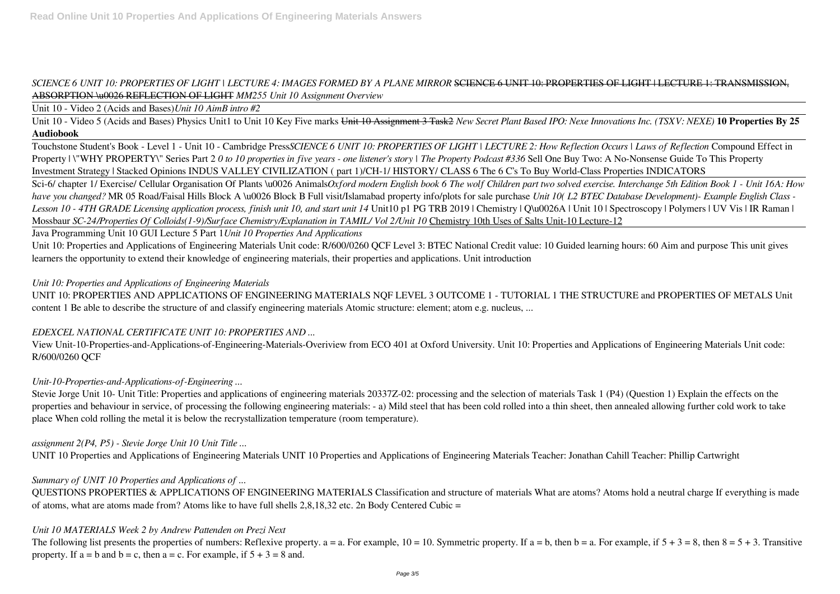# *SCIENCE 6 UNIT 10: PROPERTIES OF LIGHT | LECTURE 4: IMAGES FORMED BY A PLANE MIRROR* SCIENCE 6 UNIT 10: PROPERTIES OF LIGHT | LECTURE 1: TRANSMISSION, ABSORPTION \u0026 REFLECTION OF LIGHT *MM255 Unit 10 Assignment Overview*

Unit 10 - Video 2 (Acids and Bases)*Unit 10 AimB intro #2*

Unit 10 - Video 5 (Acids and Bases) Physics Unit1 to Unit 10 Key Five marks Unit 10 Assignment 3 Task2 *New Secret Plant Based IPO: Nexe Innovations Inc. (TSXV: NEXE)* **10 Properties By 25 Audiobook**

Touchstone Student's Book - Level 1 - Unit 10 - Cambridge Press*SCIENCE 6 UNIT 10: PROPERTIES OF LIGHT | LECTURE 2: How Reflection Occurs | Laws of Reflection* Compound Effect in Property | \"WHY PROPERTY\" Series Part 2 *0 to 10 properties in five years - one listener's story | The Property Podcast #336* Sell One Buy Two: A No-Nonsense Guide To This Property Investment Strategy | Stacked Opinions INDUS VALLEY CIVILIZATION ( part 1)/CH-1/ HISTORY/ CLASS 6 The 6 C's To Buy World-Class Properties INDICATORS

Sci-6/ chapter 1/ Exercise/ Cellular Organisation Of Plants \u0026 Animals*Oxford modern English book 6 The wolf Children part two solved exercise. Interchange 5th Edition Book 1 - Unit 16A: How have you changed?* MR 05 Road/Faisal Hills Block A \u0026 Block B Full visit/Islamabad property info/plots for sale purchase *Unit 10( L2 BTEC Database Development)- Example English Class - Lesson 10 - 4TH GRADE Licensing application process, finish unit 10, and start unit 14* Unit10 p1 PG TRB 2019 | Chemistry | Q\u0026A | Unit 10 | Spectroscopy | Polymers | UV Vis | IR Raman | Mossbaur *SC-24/Properties Of Colloids(1-9)/Surface Chemistry/Explanation in TAMIL/ Vol 2/Unit 10* Chemistry 10th Uses of Salts Unit-10 Lecture-12

Java Programming Unit 10 GUI Lecture 5 Part 1*Unit 10 Properties And Applications*

Unit 10: Properties and Applications of Engineering Materials Unit code: R/600/0260 QCF Level 3: BTEC National Credit value: 10 Guided learning hours: 60 Aim and purpose This unit gives learners the opportunity to extend their knowledge of engineering materials, their properties and applications. Unit introduction

#### *Unit 10: Properties and Applications of Engineering Materials*

UNIT 10: PROPERTIES AND APPLICATIONS OF ENGINEERING MATERIALS NQF LEVEL 3 OUTCOME 1 - TUTORIAL 1 THE STRUCTURE and PROPERTIES OF METALS Unit content 1 Be able to describe the structure of and classify engineering materials Atomic structure: element; atom e.g. nucleus, ...

### *EDEXCEL NATIONAL CERTIFICATE UNIT 10: PROPERTIES AND ...*

View Unit-10-Properties-and-Applications-of-Engineering-Materials-Overiview from ECO 401 at Oxford University. Unit 10: Properties and Applications of Engineering Materials Unit code: R/600/0260 QCF

### *Unit-10-Properties-and-Applications-of-Engineering ...*

Stevie Jorge Unit 10- Unit Title: Properties and applications of engineering materials 20337Z-02: processing and the selection of materials Task 1 (P4) (Question 1) Explain the effects on the properties and behaviour in service, of processing the following engineering materials: - a) Mild steel that has been cold rolled into a thin sheet, then annealed allowing further cold work to take place When cold rolling the metal it is below the recrystallization temperature (room temperature).

### *assignment 2(P4, P5) - Stevie Jorge Unit 10 Unit Title ...*

UNIT 10 Properties and Applications of Engineering Materials UNIT 10 Properties and Applications of Engineering Materials Teacher: Jonathan Cahill Teacher: Phillip Cartwright

### *Summary of UNIT 10 Properties and Applications of ...*

QUESTIONS PROPERTIES & APPLICATIONS OF ENGINEERING MATERIALS Classification and structure of materials What are atoms? Atoms hold a neutral charge If everything is made of atoms, what are atoms made from? Atoms like to have full shells 2,8,18,32 etc. 2n Body Centered Cubic =

#### *Unit 10 MATERIALS Week 2 by Andrew Pattenden on Prezi Next*

The following list presents the properties of numbers: Reflexive property.  $a = a$ . For example,  $10 = 10$ . Symmetric property. If  $a = b$ , then  $b = a$ . For example, if  $5 + 3 = 8$ , then  $8 = 5 + 3$ . Transitive property. If  $a = b$  and  $b = c$ , then  $a = c$ . For example, if  $5 + 3 = 8$  and.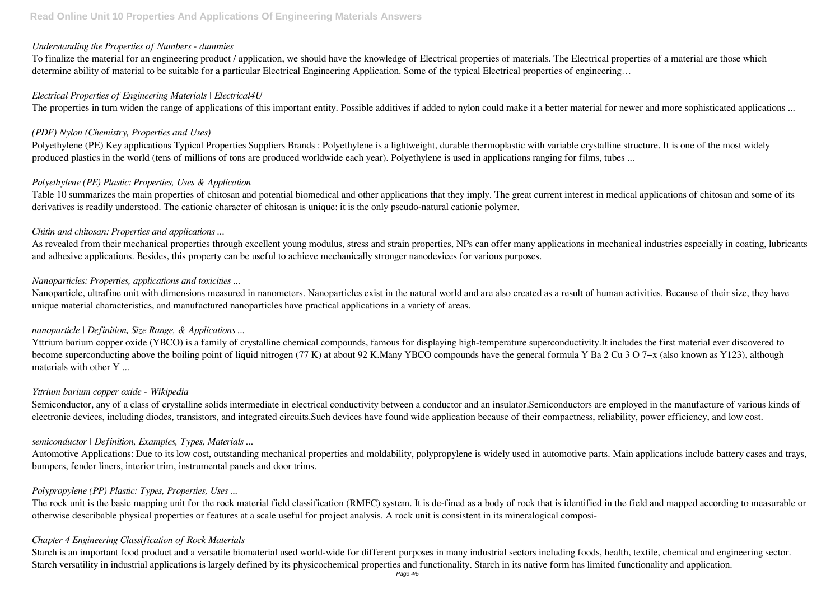#### *Understanding the Properties of Numbers - dummies*

To finalize the material for an engineering product / application, we should have the knowledge of Electrical properties of materials. The Electrical properties of a material are those which determine ability of material to be suitable for a particular Electrical Engineering Application. Some of the typical Electrical properties of engineering…

#### *Electrical Properties of Engineering Materials | Electrical4U*

The properties in turn widen the range of applications of this important entity. Possible additives if added to nylon could make it a better material for newer and more sophisticated applications ...

### *(PDF) Nylon (Chemistry, Properties and Uses)*

As revealed from their mechanical properties through excellent young modulus, stress and strain properties, NPs can offer many applications in mechanical industries especially in coating, lubricants and adhesive applications. Besides, this property can be useful to achieve mechanically stronger nanodevices for various purposes.

Polyethylene (PE) Key applications Typical Properties Suppliers Brands : Polyethylene is a lightweight, durable thermoplastic with variable crystalline structure. It is one of the most widely produced plastics in the world (tens of millions of tons are produced worldwide each year). Polyethylene is used in applications ranging for films, tubes ...

# *Polyethylene (PE) Plastic: Properties, Uses & Application*

Table 10 summarizes the main properties of chitosan and potential biomedical and other applications that they imply. The great current interest in medical applications of chitosan and some of its derivatives is readily understood. The cationic character of chitosan is unique: it is the only pseudo-natural cationic polymer.

### *Chitin and chitosan: Properties and applications ...*

Semiconductor, any of a class of crystalline solids intermediate in electrical conductivity between a conductor and an insulator. Semiconductors are employed in the manufacture of various kinds of electronic devices, including diodes, transistors, and integrated circuits.Such devices have found wide application because of their compactness, reliability, power efficiency, and low cost.

# *Nanoparticles: Properties, applications and toxicities ...*

The rock unit is the basic mapping unit for the rock material field classification (RMFC) system. It is de-fined as a body of rock that is identified in the field and mapped according to measurable or otherwise describable physical properties or features at a scale useful for project analysis. A rock unit is consistent in its mineralogical composi-

Nanoparticle, ultrafine unit with dimensions measured in nanometers. Nanoparticles exist in the natural world and are also created as a result of human activities. Because of their size, they have unique material characteristics, and manufactured nanoparticles have practical applications in a variety of areas.

### *nanoparticle | Definition, Size Range, & Applications ...*

Yttrium barium copper oxide (YBCO) is a family of crystalline chemical compounds, famous for displaying high-temperature superconductivity.It includes the first material ever discovered to become superconducting above the boiling point of liquid nitrogen (77 K) at about 92 K.Many YBCO compounds have the general formula Y Ba 2 Cu 3 O 7−x (also known as Y123), although materials with other Y ...

### *Yttrium barium copper oxide - Wikipedia*

# *semiconductor | Definition, Examples, Types, Materials ...*

Automotive Applications: Due to its low cost, outstanding mechanical properties and moldability, polypropylene is widely used in automotive parts. Main applications include battery cases and trays, bumpers, fender liners, interior trim, instrumental panels and door trims.

### *Polypropylene (PP) Plastic: Types, Properties, Uses ...*

### *Chapter 4 Engineering Classification of Rock Materials*

Starch is an important food product and a versatile biomaterial used world-wide for different purposes in many industrial sectors including foods, health, textile, chemical and engineering sector. Starch versatility in industrial applications is largely defined by its physicochemical properties and functionality. Starch in its native form has limited functionality and application.